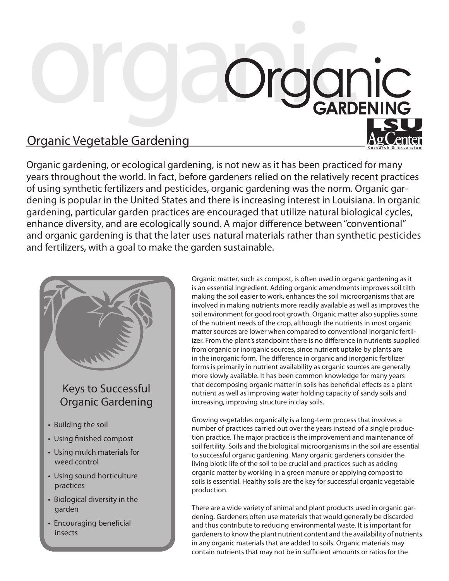## Organic Organ Organic Vegetable Gardening

Organic gardening, or ecological gardening, is not new as it has been practiced for many years throughout the world. In fact, before gardeners relied on the relatively recent practices of using synthetic fertilizers and pesticides, organic gardening was the norm. Organic gardening is popular in the United States and there is increasing interest in Louisiana. In organic gardening, particular garden practices are encouraged that utilize natural biological cycles, enhance diversity, and are ecologically sound. A major difference between "conventional" and organic gardening is that the later uses natural materials rather than synthetic pesticides and fertilizers, with a goal to make the garden sustainable.

## Keys to Successful Organic Gardening

• Building the soil

ĺ l

- Using finished compost
- Using mulch materials for weed control
- Using sound horticulture practices
- Biological diversity in the garden
- Encouraging beneficial insects

Organic matter, such as compost, is often used in organic gardening as it is an essential ingredient. Adding organic amendments improves soil tilth making the soil easier to work, enhances the soil microorganisms that are involved in making nutrients more readily available as well as improves the soil environment for good root growth. Organic matter also supplies some of the nutrient needs of the crop, although the nutrients in most organic matter sources are lower when compared to conventional inorganic fertilizer. From the plant's standpoint there is no difference in nutrients supplied from organic or inorganic sources, since nutrient uptake by plants are in the inorganic form. The difference in organic and inorganic fertilizer forms is primarily in nutrient availability as organic sources are generally more slowly available. It has been common knowledge for many years that decomposing organic matter in soils has beneficial effects as a plant nutrient as well as improving water holding capacity of sandy soils and increasing, improving structure in clay soils.

Growing vegetables organically is a long-term process that involves a number of practices carried out over the years instead of a single production practice. The major practice is the improvement and maintenance of soil fertility. Soils and the biological microorganisms in the soil are essential to successful organic gardening. Many organic gardeners consider the living biotic life of the soil to be crucial and practices such as adding organic matter by working in a green manure or applying compost to soils is essential. Healthy soils are the key for successful organic vegetable production.

There are a wide variety of animal and plant products used in organic gardening. Gardeners often use materials that would generally be discarded and thus contribute to reducing environmental waste. It is important for gardeners to know the plant nutrient content and the availability of nutrients in any organic materials that are added to soils. Organic materials may contain nutrients that may not be in sufficient amounts or ratios for the